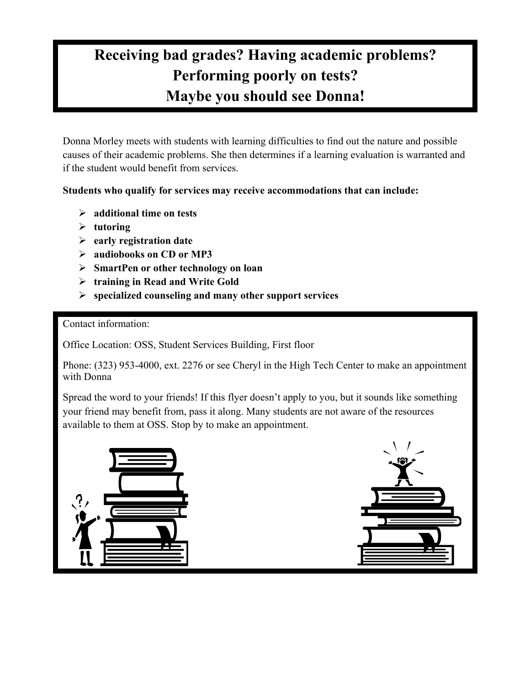## **Maybe you should see Donna! Receiving bad grades? Having academic problems? Performing poorly on tests?**

 Donna Morley meets with students with learning difficulties to find out the nature and possible if the student would benefit from services. causes of their academic problems. She then determines if a learning evaluation is warranted and

**Students who qualify for services may receive accommodations that can include:** 

- **additional time on tests**
- $\triangleright$  tutoring
- **early registration date**
- **audiobooks on CD or MP3**
- **SmartPen or other technology on loan**
- **training in Read and Write Gold**
- **specialized counseling and many other support services**

Contact information:

Office Location: OSS, Student Services Building, First floor

Phone: (323) 953-4000, ext. 2276 or see Cheryl in the High Tech Center to make an appointment with Donna

 available to them at OSS. Stop by to make an appointment. Spread the word to your friends! If this flyer doesn't apply to you, but it sounds like something your friend may benefit from, pass it along. Many students are not aware of the resources